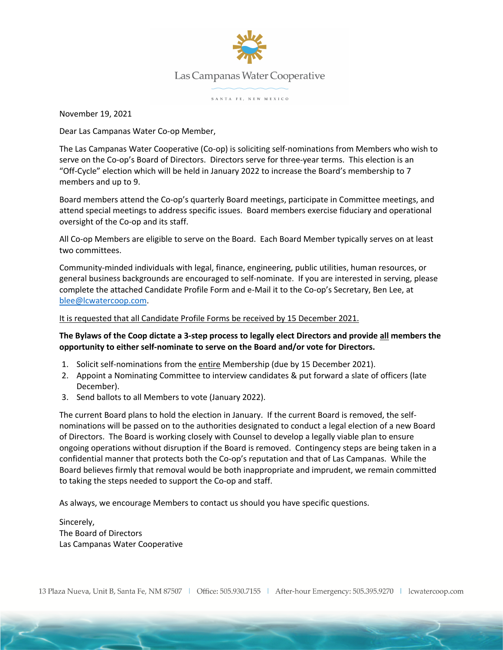

## Las Campanas Water Cooperative

SANTA FE, NEW MEXICO

November 19, 2021

Dear Las Campanas Water Co-op Member,

The Las Campanas Water Cooperative (Co-op) is soliciting self-nominations from Members who wish to serve on the Co-op's Board of Directors. Directors serve for three-year terms. This election is an "Off-Cycle" election which will be held in January 2022 to increase the Board's membership to 7 members and up to 9.

Board members attend the Co-op's quarterly Board meetings, participate in Committee meetings, and attend special meetings to address specific issues. Board members exercise fiduciary and operational oversight of the Co-op and its staff.

All Co-op Members are eligible to serve on the Board. Each Board Member typically serves on at least two committees.

Community-minded individuals with legal, finance, engineering, public utilities, human resources, or general business backgrounds are encouraged to self-nominate. If you are interested in serving, please complete the attached Candidate Profile Form and e-Mail it to the Co-op's Secretary, Ben Lee, at blee@lcwatercoop.com.

## It is requested that all Candidate Profile Forms be received by 15 December 2021.

## **The Bylaws of the Coop dictate a 3-step process to legally elect Directors and provide all members the opportunity to either self-nominate to serve on the Board and/or vote for Directors.**

- 1. Solicit self-nominations from the entire Membership (due by 15 December 2021).
- 2. Appoint a Nominating Committee to interview candidates & put forward a slate of officers (late December).
- 3. Send ballots to all Members to vote (January 2022).

The current Board plans to hold the election in January. If the current Board is removed, the selfnominations will be passed on to the authorities designated to conduct a legal election of a new Board of Directors. The Board is working closely with Counsel to develop a legally viable plan to ensure ongoing operations without disruption if the Board is removed. Contingency steps are being taken in a confidential manner that protects both the Co-op's reputation and that of Las Campanas. While the Board believes firmly that removal would be both inappropriate and imprudent, we remain committed to taking the steps needed to support the Co-op and staff.

As always, we encourage Members to contact us should you have specific questions.

Sincerely, The Board of Directors Las Campanas Water Cooperative